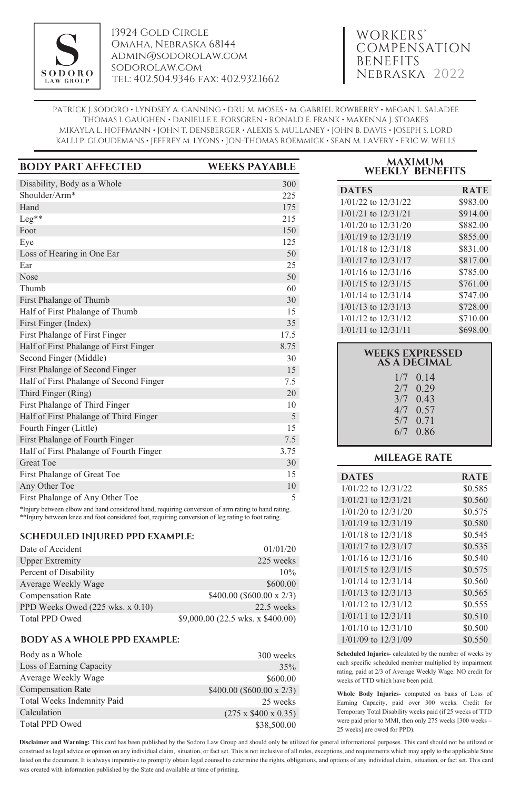

13924 Gold Circle Omaha, Nebraska 68144 admin@sodorolaw.com sodorolaw.com tel: 402.504.9346 fax: 402.932.1662

# WORKERS' COMPENSATION BENEFITS Nebraska 2022

PATRICK J. SODORO • LYNDSEY A. CANNING • DRU M. MOSES • M. GABRIEL ROWBERRY • MEGAN L. SALADEE THOMAS I. GAUGHEN • DANIELLE E. FORSGREN • RONALD E. FRANK • MAKENNA J. STOAKES MIKAYLA L. HOFFMANN • JOHN T. DENSBERGER • ALEXIS S. MULLANEY • JOHN B. DAVIS • JOSEPH S. LORD KALLI P. GLOUDEMANS • JEFFREY M. LYONS • JON-THOMAS ROEMMICK • SEAN M. LAVERY • ERIC W. WELLS

| <b>BODY PART AFFECTED</b>                                                        | <b>WEEKS PAYABLE</b> |
|----------------------------------------------------------------------------------|----------------------|
| Disability, Body as a Whole                                                      | 300                  |
| Shoulder/Arm*                                                                    | 225                  |
| Hand                                                                             | 175                  |
| $Leg**$                                                                          | 215                  |
| Foot                                                                             | 150                  |
| Eye                                                                              | 125                  |
| Loss of Hearing in One Ear                                                       | 50                   |
| Ear                                                                              | 25                   |
| <b>Nose</b>                                                                      | 50                   |
| Thumb                                                                            | 60                   |
| First Phalange of Thumb                                                          | 30                   |
| Half of First Phalange of Thumb                                                  | 15                   |
| First Finger (Index)                                                             | 35                   |
| First Phalange of First Finger                                                   | 17.5                 |
| Half of First Phalange of First Finger                                           | 8.75                 |
| Second Finger (Middle)                                                           | 30                   |
| First Phalange of Second Finger                                                  | 15                   |
| Half of First Phalange of Second Finger                                          | 7.5                  |
| Third Finger (Ring)                                                              | 20                   |
| First Phalange of Third Finger                                                   | 10                   |
| Half of First Phalange of Third Finger                                           | 5                    |
| Fourth Finger (Little)                                                           | 15                   |
| First Phalange of Fourth Finger                                                  | 7.5                  |
| Half of First Phalange of Fourth Finger                                          | 3.75                 |
| <b>Great Toe</b>                                                                 | 30                   |
| First Phalange of Great Toe                                                      | 15                   |
| Any Other Toe                                                                    | 10                   |
| First Phalange of Any Other Toe                                                  | 5                    |
| $\mathbf{a}$ and $\mathbf{a}$ and $\mathbf{a}$ and $\mathbf{a}$ and $\mathbf{a}$ |                      |

\*Injury between elbow and hand considered hand, requiring conversion of arm rating to hand rating. \*\*Injury between knee and foot considered foot, requiring conversion of leg rating to foot rating.

## **SCHEDULED INJURED PPD EXAMPLE:**

| Date of Accident                 | 01/01/20                          |
|----------------------------------|-----------------------------------|
| <b>Upper Extremity</b>           | 225 weeks                         |
| Percent of Disability            | 10%                               |
| Average Weekly Wage              | \$600.00                          |
| <b>Compensation Rate</b>         | \$400.00 (\$600.00 x 2/3)         |
| PPD Weeks Owed (225 wks. x 0.10) | 22.5 weeks                        |
| <b>Total PPD Owed</b>            | \$9,000.00 (22.5 wks. x \$400.00) |

## **BODY AS A WHOLE PPD EXAMPLE:**

| Body as a Whole            | 300 weeks                       |
|----------------------------|---------------------------------|
| Loss of Earning Capacity   | 35%                             |
| Average Weekly Wage        | \$600.00                        |
| <b>Compensation Rate</b>   | $$400.00$ (\$600.00 x 2/3)      |
| Total Weeks Indemnity Paid | 25 weeks                        |
| Calculation                | $(275 \times $400 \times 0.35)$ |
| <b>Total PPD Owed</b>      | \$38,500.00                     |

| <b>MAXIMUM</b> |                        |  |
|----------------|------------------------|--|
|                | <b>WEEKLY BENEFITS</b> |  |

| <b>DATES</b>            | <b>RATE</b> |
|-------------------------|-------------|
| 1/01/22 to 12/31/22     | \$983.00    |
| $1/01/21$ to $12/31/21$ | \$914.00    |
| $1/01/20$ to $12/31/20$ | \$882.00    |
| $1/01/19$ to $12/31/19$ | \$855.00    |
| 1/01/18 to 12/31/18     | \$831.00    |
| $1/01/17$ to $12/31/17$ | \$817.00    |
| $1/01/16$ to $12/31/16$ | \$785.00    |
| $1/01/15$ to $12/31/15$ | \$761.00    |
| 1/01/14 to 12/31/14     | \$747.00    |
| $1/01/13$ to $12/31/13$ | \$728.00    |
| 1/01/12 to 12/31/12     | \$710.00    |
| $1/01/11$ to $12/31/11$ | \$698.00    |

| <b>WEEKS EXPRESSED</b><br><b>AS A DECIMAL</b> |                                                                                  |  |
|-----------------------------------------------|----------------------------------------------------------------------------------|--|
|                                               | $1/7$ 0.14<br>$2/7$ 0.29<br>$3/7$ 0.43<br>$4/7$ 0.57<br>$5/7$ 0.71<br>$6/7$ 0.86 |  |
|                                               |                                                                                  |  |

# **MILEAGE RATE**

| <b>DATES</b>            | <b>RATE</b> |
|-------------------------|-------------|
| 1/01/22 to 12/31/22     | \$0.585     |
| $1/01/21$ to $12/31/21$ | \$0.560     |
| $1/01/20$ to $12/31/20$ | \$0.575     |
| $1/01/19$ to $12/31/19$ | \$0.580     |
| 1/01/18 to 12/31/18     | \$0.545     |
| $1/01/17$ to $12/31/17$ | \$0.535     |
| $1/01/16$ to $12/31/16$ | \$0.540     |
| $1/01/15$ to $12/31/15$ | \$0.575     |
| 1/01/14 to 12/31/14     | \$0.560     |
| $1/01/13$ to $12/31/13$ | \$0.565     |
| $1/01/12$ to $12/31/12$ | \$0.555     |
| $1/01/11$ to $12/31/11$ | \$0.510     |
| $1/01/10$ to $12/31/10$ | \$0.500     |
| 1/01/09 to 12/31/09     | \$0.550     |

**Scheduled Injuries**- calculated by the number of weeks by each specific scheduled member multiplied by impairment rating, paid at 2/3 of Average Weekly Wage. NO credit for weeks of TTD which have been paid.

**Whole Body Injuries**- computed on basis of Loss of Earning Capacity, paid over 300 weeks. Credit for Temporary Total Disability weeks paid (if 25 weeks of TTD were paid prior to MMI, then only 275 weeks [300 weeks – 25 weeks] are owed for PPD).

**Disclaimer and Warning:** This card has been published by the Sodoro Law Group and should only be utilized for general informational purposes. This card should not be utilized or construed as legal advice or opinion on any individual claim, situation, or fact set. This is not inclusive of all rules, exceptions, and requirements which may apply to the applicable State listed on the document. It is always imperative to promptly obtain legal counsel to determine the rights, obligations, and options of any individual claim, situation, or fact set. This card was created with information published by the State and available at time of printing.